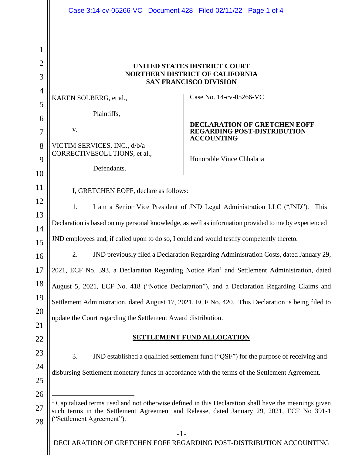|                     | Case 3:14-cv-05266-VC Document 428 Filed 02/11/22 Page 1 of 4                                           |                                                                                                                 |  |
|---------------------|---------------------------------------------------------------------------------------------------------|-----------------------------------------------------------------------------------------------------------------|--|
|                     |                                                                                                         |                                                                                                                 |  |
| 1                   |                                                                                                         |                                                                                                                 |  |
| $\overline{2}$<br>3 | UNITED STATES DISTRICT COURT<br><b>NORTHERN DISTRICT OF CALIFORNIA</b><br><b>SAN FRANCISCO DIVISION</b> |                                                                                                                 |  |
| $\overline{4}$      |                                                                                                         | Case No. 14-cv-05266-VC                                                                                         |  |
| 5                   | KAREN SOLBERG, et al.,                                                                                  |                                                                                                                 |  |
| 6                   | Plaintiffs,                                                                                             |                                                                                                                 |  |
| $\overline{7}$      | V.                                                                                                      | <b>DECLARATION OF GRETCHEN EOFF</b><br><b>REGARDING POST-DISTRIBUTION</b><br><b>ACCOUNTING</b>                  |  |
| 8                   | VICTIM SERVICES, INC., d/b/a<br>CORRECTIVESOLUTIONS, et al.,                                            |                                                                                                                 |  |
| 9                   | Defendants.                                                                                             | Honorable Vince Chhabria                                                                                        |  |
| 10                  |                                                                                                         |                                                                                                                 |  |
| 11                  | I, GRETCHEN EOFF, declare as follows:                                                                   |                                                                                                                 |  |
| 12                  | 1.                                                                                                      | I am a Senior Vice President of JND Legal Administration LLC ("JND"). This                                      |  |
| 13                  | Declaration is based on my personal knowledge, as well as information provided to me by experienced     |                                                                                                                 |  |
| 14<br>15            | JND employees and, if called upon to do so, I could and would testify competently thereto.              |                                                                                                                 |  |
| 16                  | 2.                                                                                                      | JND previously filed a Declaration Regarding Administration Costs, dated January 29,                            |  |
| 17                  |                                                                                                         | 2021, ECF No. 393, a Declaration Regarding Notice Plan <sup>1</sup> and Settlement Administration, dated        |  |
| 18                  |                                                                                                         | August 5, 2021, ECF No. 418 ("Notice Declaration"), and a Declaration Regarding Claims and                      |  |
| 19                  |                                                                                                         | Settlement Administration, dated August 17, 2021, ECF No. 420. This Declaration is being filed to               |  |
| 20                  | update the Court regarding the Settlement Award distribution.                                           |                                                                                                                 |  |
| 21                  |                                                                                                         |                                                                                                                 |  |
| 22                  |                                                                                                         | <b>SETTLEMENT FUND ALLOCATION</b>                                                                               |  |
| 23                  | 3.                                                                                                      | JND established a qualified settlement fund ("QSF") for the purpose of receiving and                            |  |
| 24                  |                                                                                                         | disbursing Settlement monetary funds in accordance with the terms of the Settlement Agreement.                  |  |
| 25                  |                                                                                                         |                                                                                                                 |  |
| 26                  |                                                                                                         | <sup>1</sup> Capitalized terms used and not otherwise defined in this Declaration shall have the meanings given |  |
| 27                  | "Settlement Agreement").                                                                                | such terms in the Settlement Agreement and Release, dated January 29, 2021, ECF No 391-1                        |  |
| 28                  | $-1-$                                                                                                   |                                                                                                                 |  |
|                     |                                                                                                         | DECLARATION OF GRETCHEN EOFF REGARDING POST-DISTRIBUTION ACCOUNTING                                             |  |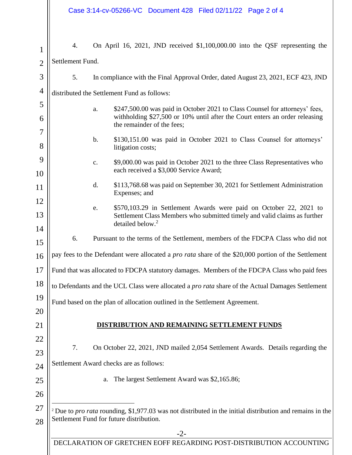| $\mathbf{1}$   | 4.                                                                                                                                                                      | On April 16, 2021, JND received \$1,100,000.00 into the QSF representing the                                                           |  |  |
|----------------|-------------------------------------------------------------------------------------------------------------------------------------------------------------------------|----------------------------------------------------------------------------------------------------------------------------------------|--|--|
| $\overline{2}$ | Settlement Fund.                                                                                                                                                        |                                                                                                                                        |  |  |
| 3              | 5.                                                                                                                                                                      | In compliance with the Final Approval Order, dated August 23, 2021, ECF 423, JND                                                       |  |  |
| $\overline{4}$ | distributed the Settlement Fund as follows:                                                                                                                             |                                                                                                                                        |  |  |
| 5              |                                                                                                                                                                         | \$247,500.00 was paid in October 2021 to Class Counsel for attorneys' fees,<br>a.                                                      |  |  |
| 6              |                                                                                                                                                                         | withholding \$27,500 or 10% until after the Court enters an order releasing<br>the remainder of the fees;                              |  |  |
| 7<br>8         |                                                                                                                                                                         | $\mathbf b$ .<br>\$130,151.00 was paid in October 2021 to Class Counsel for attorneys'<br>litigation costs;                            |  |  |
| 9<br>10        |                                                                                                                                                                         | \$9,000.00 was paid in October 2021 to the three Class Representatives who<br>$\mathbf{C}$ .<br>each received a \$3,000 Service Award; |  |  |
| 11             |                                                                                                                                                                         | d.<br>\$113,768.68 was paid on September 30, 2021 for Settlement Administration<br>Expenses; and                                       |  |  |
| 12             |                                                                                                                                                                         | \$570,103.29 in Settlement Awards were paid on October 22, 2021 to<br>e.                                                               |  |  |
| 13             |                                                                                                                                                                         | Settlement Class Members who submitted timely and valid claims as further<br>detailed below. <sup>2</sup>                              |  |  |
| 14<br>15       | 6.                                                                                                                                                                      | Pursuant to the terms of the Settlement, members of the FDCPA Class who did not                                                        |  |  |
| 16             | pay fees to the Defendant were allocated a <i>pro rata</i> share of the \$20,000 portion of the Settlement                                                              |                                                                                                                                        |  |  |
| 17             | Fund that was allocated to FDCPA statutory damages. Members of the FDCPA Class who paid fees                                                                            |                                                                                                                                        |  |  |
| 18             | to Defendants and the UCL Class were allocated a pro rata share of the Actual Damages Settlement                                                                        |                                                                                                                                        |  |  |
| 19             | Fund based on the plan of allocation outlined in the Settlement Agreement.                                                                                              |                                                                                                                                        |  |  |
| <b>20</b>      |                                                                                                                                                                         |                                                                                                                                        |  |  |
| 21             |                                                                                                                                                                         | DISTRIBUTION AND REMAINING SETTLEMENT FUNDS                                                                                            |  |  |
| 22<br>23       | 7.                                                                                                                                                                      | On October 22, 2021, JND mailed 2,054 Settlement Awards. Details regarding the                                                         |  |  |
| 24             | Settlement Award checks are as follows:                                                                                                                                 |                                                                                                                                        |  |  |
| 25             |                                                                                                                                                                         | a. The largest Settlement Award was \$2,165.86;                                                                                        |  |  |
| 26             |                                                                                                                                                                         |                                                                                                                                        |  |  |
| 27<br>28       | <sup>2</sup> Due to <i>pro rata</i> rounding, \$1,977.03 was not distributed in the initial distribution and remains in the<br>Settlement Fund for future distribution. |                                                                                                                                        |  |  |
|                | $-2-$                                                                                                                                                                   |                                                                                                                                        |  |  |
|                |                                                                                                                                                                         | DECLARATION OF GRETCHEN EOFF REGARDING POST-DISTRIBUTION ACCOUNTING                                                                    |  |  |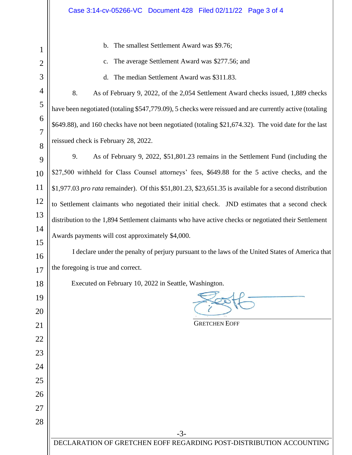| 1              | The smallest Settlement Award was \$9.76;<br>$\mathbf b$ .                                              |  |
|----------------|---------------------------------------------------------------------------------------------------------|--|
| $\overline{2}$ | The average Settlement Award was \$277.56; and<br>c.                                                    |  |
| 3              | The median Settlement Award was \$311.83.<br>d.                                                         |  |
| 4              | 8.<br>As of February 9, 2022, of the 2,054 Settlement Award checks issued, 1,889 checks                 |  |
| 5              | have been negotiated (totaling \$547,779.09), 5 checks were reissued and are currently active (totaling |  |
| 6              | \$649.88), and 160 checks have not been negotiated (totaling \$21,674.32). The void date for the last   |  |
| 7<br>8         | reissued check is February 28, 2022.                                                                    |  |
| 9              | 9.<br>As of February 9, 2022, \$51,801.23 remains in the Settlement Fund (including the                 |  |
| 10             | \$27,500 withheld for Class Counsel attorneys' fees, \$649.88 for the 5 active checks, and the          |  |
| 11             | \$1,977.03 pro rata remainder). Of this $$51,801.23, $23,651.35$ is available for a second distribution |  |
| 12             | to Settlement claimants who negotiated their initial check. JND estimates that a second check           |  |
| 13             | distribution to the 1,894 Settlement claimants who have active checks or negotiated their Settlement    |  |
| 14             | Awards payments will cost approximately \$4,000.                                                        |  |
| 15             | I declare under the penalty of perjury pursuant to the laws of the United States of America that        |  |
| 16             |                                                                                                         |  |
| 17             | the foregoing is true and correct.                                                                      |  |
| 18             | Executed on February 10, 2022 in Seattle, Washington.                                                   |  |
| 19             |                                                                                                         |  |
| 20             | <b>GRETCHEN EOFF</b>                                                                                    |  |
| 21             |                                                                                                         |  |
| 22<br>23       |                                                                                                         |  |
| 24             |                                                                                                         |  |
| 25             |                                                                                                         |  |
| 26             |                                                                                                         |  |
| 27             |                                                                                                         |  |
| 28             |                                                                                                         |  |
|                | $-3-$                                                                                                   |  |
|                | DECLARATION OF GRETCHEN EOFF REGARDING POST-DISTRIBUTION ACCOUNTING                                     |  |